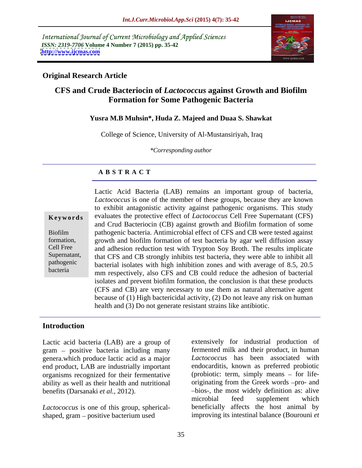International Journal of Current Microbiology and Applied Sciences *ISSN: 2319-7706* **Volume 4 Number 7 (2015) pp. 35-42 <http://www.ijcmas.com>**



### **Original Research Article**

## **CFS and Crude Bacteriocin of** *Lactococcus* **against Growth and Biofilm Formation for Some Pathogenic Bacteria**

### **Yusra M.B Muhsin\*, Huda Z. Majeed and Duaa S. Shawkat**

College of Science, University of Al-Mustansiriyah, Iraq

*\*Corresponding author*

### **A B S T R A C T**

bacteria

Lactic Acid Bacteria (LAB) remains an important group of bacteria, *Lactococcus* is one of the member of these groups, because they are known to exhibit antagonistic activity against pathogenic organisms. This study **Keywords** evaluates the protective effect of *Lactococcus* Cell Free Supernatant (CFS) and Crud Bacteriocin (CB) against growth and Biofilm formation of some pathogenic bacteria. Antimicrobial effect of CFS and CB were tested against Biofilm formation, growth and biofilm formation of test bacteria by agar well diffusion assay and adhesion reduction test with Trypton Soy Broth. The results implicate Cell Free Supernatant, that CFS and CB strongly inhibits test bacteria, they were able to inhibit all bacterial isolates with high inhibition zones and with average of 8.5, 20.5 pathogenic mm respectively, also CFS and CB could reduce the adhesion of bacterial isolates and prevent biofilm formation, the conclusion is that these products (CFS and CB) are very necessary to use them as natural alternative agent because of (1) High bactericidal activity, (2) Do not leave any risk on human health and (3) Do not generate resistant strains like antibiotic.

### **Introduction**

Lactic acid bacteria (LAB) are a group of  $gram - positive bacteria including many$ genera.which produce lactic acid as a major end product, LAB are industrially important organisms recognized for their fermentative ability as well as their health and nutritional

*Lactococcus* is one of this group, spherical shaped, gram – positive bacterium used improving its intestinal balance (Bourouni *et* 

benefits (Darsanaki *et al.*, 2012). **bios-**, the most widely definition as: alive extensively for industrial production of fermented milk and their product, in human *Lactococcus* has been associated with endocarditis, known as preferred probiotic (probiotic: term, simply means  $-$  for lifeoriginating from the Greek words -pro- and microbial feed supplement which beneficially affects the host animal by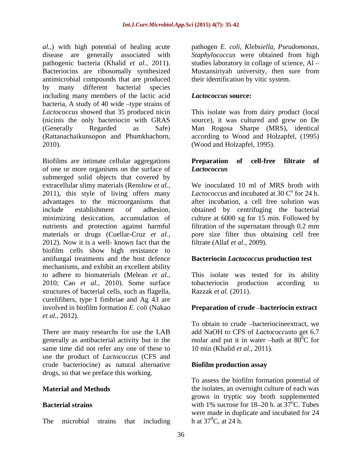*al.,*) with high potential of healing acute pathogen *E.coli, Klebsiella, Pseudomonas,* disease are generally associated with pathogenic bacteria (Khalid *et al.*, 2011). studies laboratory in collage of science, Al – Bacteriocins are ribosomally synthesized Mustansiriyah university, then sure from antimicrobial compounds that are produced by many different bacterial species including many members of the lactic acid bacteria, A study of  $40$  wide  $-$ type strains of *Lactococcus* showed that 35 produced nicin This isolate was from dairy product (local (nicinis the only bacteriocin with GRAS source), it was cultured and grew on De (Generally Regarded as Safe) Man Rogosa Sharpe (MRS), identical (Rattanachaikunsopon and Phumkhachorn, according to Wood and Holzapfel, (1995)<br>2010). (Wood and Holzapfel, 1995).

Biofilms are intimate cellular aggregations **Preparation of cell-free filtrate of** of one or more organisms on the surface of **Lactococcus** submerged solid objects that covered by extracellular slimy materials (Renslow *et al.,* 2011), this style of living offers many advantages to the microorganisms that include establishment of adhesion, obtained by centrifuging the bacterial minimizing desiccation, accumulation of culture at 6000 xg for 15 min. Followed by nutrients and protection against harmful filtration of the supernatant through 0.2 mm materials or drugs (Cuellar-Cruz *et al.,* pore size filter thus obtaining cell free 2012). Now it is a well- known fact that the biofilm cells show high resistance to antifungal treatments and the host defence mechanisms, and exhibit an excellent ability to adhere to biomaterials (Melean *et al.,* 2010; Cao *et al.,* 2010). Some surface structures of bacterial cells, such as flagella, Razzak et al. (2011). curelifibers, type I fimbriae and Ag 43 are involved in biofilm formation *E. coli* (Nakao **Preparation of crude -bacteriocin extract** *et al.,* 2012).

There are many researchs for use the LAB generally as antibacterial activity but in the molar and put it in water -bath at  $80^{\circ}$ C for same time did not refer any one of these to use the product of *Lactococcus* (CFS and crude bacteriocine) as natural alternative drugs, so that we preface this working.

*Staphylococcus* were obtained from high their identification by vitic system.

#### *Lactococcus* **source:**

according to Wood and Holzapfel, (1995) (Wood and Holzapfel, 1995).

#### **Preparation of cell-free filtrate of** *Lactococcus*

We inoculated 10 ml of MRS broth with *Lactococcus* and incubated at 30  $\degree$  for 24 h. for 24 h. after incubation, a cell free solution was filtration of the supernatant through 0.2 mm filtrate (Allaf *et al.,* 2009).

### **Bacteriocin** *Lactococcus* **production test**

This isolate was tested for its ability tobacteriocin production according to Razzak *et al.* (2011).

To obtain to crude -bacteriocine extract, we add NaOH to CFS of *Lactococcus*to get 6.7  ${}^{0}C$  for 10 min (Khalid *et al.,* 2011).

#### **Biofilm production assay**

**Material and Methods the isolates, an overnight culture of each was Bacterial strains**  $\frac{18-20 \text{ h. at } 37^{\circ}\text{C}}{18-20 \text{ h. at } 37^{\circ}\text{C}}$ . Tubes The microbial strains that including h at  $37^{\circ}$ C, at 24 h. To assess the biofilm formation potential of grown in tryptic soy broth supplemented were made in duplicate and incubated for 24 h at  $37^0$ C, at 24 h.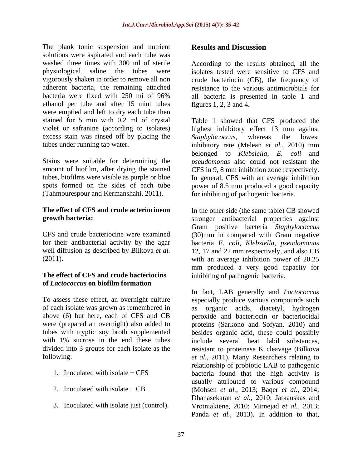The plank tonic suspension and nutrient **Results and Discussion** solutions were aspirated and each tube was washed three times with 300 ml of sterile According to the results obtained, all the physiological saline the tubes were isolates tested were sensitive to CFS and vigorously shaken in order to remove all non adherent bacteria, the remaining attached resistance to the various antimicrobials for bacteria were fixed with 250 mi of 96% all bacteria is presented in table 1 and ethanol per tube and after 15 mint tubes were emptied and left to dry each tube then stained for 5 min with 0.2 ml of crystal excess stain was rinsed off by placing the Staphylococcus, whereas the lowest

# **of** *Lactococcus* **on biofilm formation**

- 
- 
- 

### **Results and Discussion**

crude bacteriocin (CB), the frequency of figures 1, 2, 3 and 4.

violet or safranine (according to isolates) highest inhibitory effect 13 mm against tubes under running tap water. inhibitory rate (Melean *et al.,* 2010) mm Stains were suitable for determining the *pseudomonas* also could not resistant the amount of biofilm, after drying the stained CFS in 9, 8 mm inhibition zone respectively. tubes, biofilms were visible as purple or blue In general, CFS with an average inhibition spots formed on the sides of each tube power of 8.5 mm produced a good capacity (Tahmourespour and Kermanshahi, 2011). for inhibiting of pathogenic bacteria. Table 1 showed that CFS produced the *Staphylococcus,* whereas the lowest belonged to *Klebsiella, E. coli* and

**The effect of CFS and crude acteriocine in the other side (the same table) CB showed growth bacteria:** stronger antibacterial properties against CFS and crude bacteriocine were examined (30)mm in compared with Gram negative for their antibacterial activity by the agar bacteria *E. coli, Klebsiella, pseudomonas* well diffusion as described by Bilkova *et al.* 12, 17 and 22 mm respectively, and also CB (2011). with an average inhibition power of 20.25 **The effect of CFS and crude bacteriocins**  inhibiting of pathogenic bacteria. Gram positive bacteria *Staphylococcus* mm produced a very good capacity for

To assess these effect, an overnight culture especially produce various compounds such of each isolate was grown as remembered in as organic acids, diacetyl, hydrogen above (6) but here, each of CFS and CB peroxide and bacteriocin or bacteriocidal were (prepared an overnight) also added to proteins (Sarkono and Sofyan, 2010) and tubes with tryptic soy broth supplemented besides organic acid, these could possibly with 1% sucrose in the end these tubes include several heat labil substances, divided into 3 groups for each isolate as the resistant to proteinase K cleavage (Bilkova following: *et al.,* 2011). Many Researchers relating to 1. Inoculated with isolate + CFS bacteria found that the high activity is 2. Inoculated with isolate + CB (Mohsen *et al.,* 2013; Baqer *et al.,* 2014; 3. Inoculated with isolate just (control). Vrotniakiene, 2010; Mirnejad *et al.,* 2013; In fact, LAB generally and *Lactococcus* relationship of probiotic LAB to pathogenic usually attributed to various compound Dhanasekaran *et al.,* 2010; Jatkauskas and Panda *et al.,* 2013). In addition to that,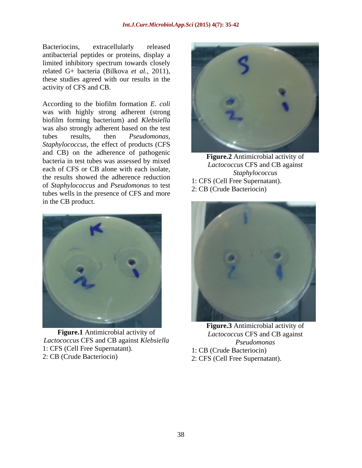antibacterial peptides or proteins, display a limited inhibitory spectrum towards closely activity of CFS and CB.

According to the biofilm formation *E. coli* was with highly strong adherent (strong biofilm forming bacterium) and *Klebsiella* was also strongly adherent based on the test *Staphylococcus,* the effect of products (CFS and CB) on the adherence of pathogenic bacteria in test tubes was assessed by mixed each of CFS or CB alone with each isolate,<br>Staphylococcus the results showed the adherence reduction of *Staphylococcus* and *Pseudomonas* to test tubes wells in the presence of CFS and more in the CB product.



**Figure.1** Antimicrobial activity of *Lactococcus* CFS and CB against *Lactococcus* CFS and CB against *Klebsiella* 1: CFS (Cell Free Supernatant). 2: CB (Crude Bacteriocin) 2: CFS (Cell Free Supernatant).



**Figure.2** Antimicrobial activity of *Lactococcus* CFS and CB against *Staphylococcus* 1: CFS (Cell Free Supernatant). 2: CB (Crude Bacteriocin)



**Figure.3** Antimicrobial activity of *Pseudomonas* 1: CB (Crude Bacteriocin)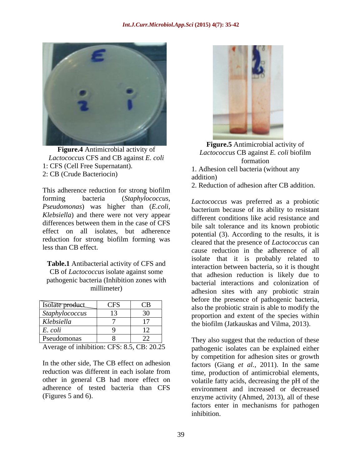

**Figure.4** Antimicrobial activity of *Lactococcus* CFS and CB against *E. coli* 1: CFS (Cell Free Supernatant). 2: CB (Crude Bacteriocin) addition

This adherence reduction for strong biofilm forming bacteria (*Staphylococcus, Lactococcus* was preferred as a probiotic *Pseudomonas*) was higher than (*E.coli, Klebsiella*) and there were not very appear effect on all isolates, but adherence reduction for strong biofilm forming was

**Table.1** Antibacterial activity of CFS and CB of *Lactococcus* isolate against some pathogenic bacteria (Inhibition zones with

| Pseudomonas           |            | They also suggest that the reduction of these                                                  |
|-----------------------|------------|------------------------------------------------------------------------------------------------|
| E. coli               |            |                                                                                                |
| Klebsiella            |            | the biofilm (Jatkauskas and Vilma, 2013).                                                      |
| <i>Staphylococcus</i> |            | proportion and extent of the species within                                                    |
| Isolate product       | <b>CFS</b> | before the presence of pathogenic bacteria,<br>also the probiotic strain is able to modify the |
|                       |            |                                                                                                |



**Figure.5** Antimicrobial activity of *Lactococcus* CB against *E. coli* biofilm formation **that is a set of the set of the set of the set of the set of the set of the set of the set of the set of the set of the set of the set of the set of the set of the set of the set of the set of the set of the set** 

1. Adhesion cell bacteria (without any addition)

2. Reduction of adhesion after CB addition.

differences between them in the case of CFS hile self-tolerance and its known probiotic less than CB effect.<br>cause reduction in the adherence of all millimeter) adhesion sites with any probiotic strain Isolate product CFS CB also the probiotic strain is able to modify the **Staphylococcus** 13 30 proportion and extent of the species within bacterium because of its ability to resistant different conditions like acid resistance and bile salt tolerance and its known probiotic potential (3). According to the results, it is cleared that the presence of *Lactococcus* can isolate that it is probably related to interaction between bacteria, so it is thought that adhesion reduction is likely due to bacterial interactions and colonization of before the presence of pathogenic bacteria,

Average of inhibition: CFS: 8.5, CB: 20.25 pathogenic isolates can be explained either In the other side, The CB effect on adhesion factors (Giang *et al., 2011)*. In the same reduction was different in each isolate from time, production of antimicrobial elements, other in general CB had more effect on volatile fatty acids, decreasing the pH of the adherence of tested bacteria than CFS environment and increased or decreased (Figures 5 and 6). enzyme activity (Ahmed, 2013), all of these by competition for adhesion sites or growth factors enter in mechanisms for pathogen inhibition.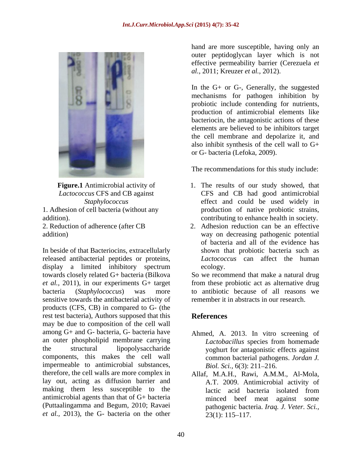

In beside of that Bacteriocins, extracellularly released antibacterial peptides or proteins, sensitive towards the antibacterial activity of products (CFS, CB) in compared to G- (the rest test bacteria), Authors supposed that this **References** may be due to composition of the cell wall among G+ and G- bacteria, G- bacteria have Ahmed, A. 2013. In vitro screening of an outer phospholipid membrane carrying *Lactobacillus* species from homemade the structural lipopolysaccharide yoghurt for antagonistic effects against components, this makes the cell wall impermeable to antimicrobial substances,  $Biol. Sci., 6(3): 211-216.$ therefore, the cell walls are more complex in Allaf, M.A.H., Rawi, A.M.M., Al-Mola, lay out, acting as diffusion barrier and making them less susceptible to the lactic acid bacteria isolated from antimicrobial agents than that of G+ bacteria (Puttaalingamma and Begum, 2010; Ravaei *et al.*, 2013), the G- bacteria on the other  $23(1): 115-117$ .

hand are more susceptible, having only an outer peptidoglycan layer which is not effective permeability barrier (Cerezuela *et al.,* 2011; Kreuzer *et al.,* 2012).

In the G+ or G-, Generally, the suggested mechanisms for pathogen inhibition by probiotic include contending for nutrients, production of antimicrobial elements like bacteriocin, the antagonistic actions of these elements are believed to be inhibitors target the cell membrane and depolarize it, and also inhibit synthesis of the cell wall to G+ or G- bacteria (Lefoka, 2009).

The recommendations for this study include:

- **Figure.1** Antimicrobial activity of 1. The results of our study showed, that *Lactococcus* CFS and CB against CFS and CB had good antimicrobial *Staphylococcus* effect and could be used widely in 1. Adhesion of cell bacteria (without any production of native probiotic strains, addition). contributing to enhance health in society.
- 2. Reduction of adherence (after CB 2. Adhesion reduction can be an effective addition) way on decreasing pathogenic potential display a limited inhibitory spectrum of bacteria and all of the evidence has shown that probiotic bacteria such as *Lactococcus* can affect the human ecology.

towards closely related G+ bacteria (Bilkova So we recommend that make a natural drug *et al.,* 2011), in our experiments G+ target from these probiotic act as alternative drug bacteria (*Staphylococcus*) was more to antibiotic because of all reasons we remember it in abstracts in our research.

# **References**

- *Lactobacillus* species from homemade common bacterial pathogens. *Jordan J. Biol. Sci.,* 6(3): 211–216.
- A.T. 2009. Antimicrobial activity of lactic acid bacteria isolated from minced beef meat against some pathogenic bacteria. *Iraq. J. Veter. Sci.,*  $23(1): 115-117.$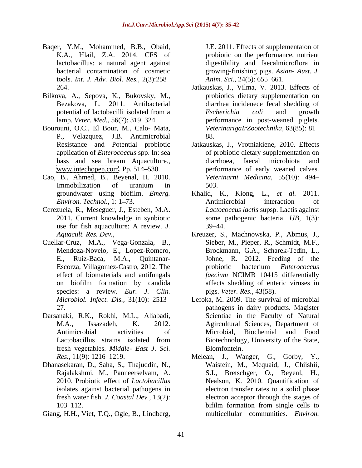- Baqer, Y.M., Mohammed, B.B., Obaid, K.A., Hlail, Z.A. 2014. CFS of bacterial contamination of cosmetic tools. *Int. J. Adv. Biol. Res.,* 2(3):258
- Bilkova, A., Sepova, K., Bukovsky, M.,
- Bourouni, O.C., El Bour, M., Calo- Mata, P., Velazquez, J.B. Antimicrobial application of *Enterococcus* spp. In: sea
- Cao, B., Ahmed, B., Beyenal, H. 2010.
- Cerezuela, R., Meseguer, J., Esteben, M.A.
- Cuellar-Cruz, M.A., Vega-Gonzala, B., species: a review. *Eur. J. Clin.*
- Darsanaki, R.K., Rokhi, M.L., Aliabadi, fresh vegetables. *Middle- East J. Sci.*
- Dhanasekaran, D., Saha, S., Thajuddin, N.,
- Giang, H.H., Viet, T.Q., Ogle, B., Lindberg,

lactobacillus: a natural agent against digestibility and faecalmicroflora in J.E. 2011. Effects of supplementaion of probiotic on the performance, nutrient growing-finishing pigs. *Asian- Aust. J. Anim. Sci.,* 24(5): 655–661.

- 264. Jatkauskas, J., Vilma, V. 2013. Effects of Bezakova, L. 2011. Antibacterial diarrhea incidenece fecal shedding of potential of lactobacilli isolated from a *Escherichia coli* and growth lamp. *Veter. Med.*, 56(7): 319–324. **performance** in post-weaned piglets. probiotics dietary supplementation on *Escherichia coli* and growth *VeterinarigaIrZootechnika,* 63(85): 81 88.
- Resistance and Potential probiotic Jatkauskas, J., Vrotniakiene, 2010. Effects bass and sea bream Aquaculture., [www.intechopen.com](http://www.intechopen.com). Pp. 514–530. The performance of early weaned calves. Immobilization of uranium in 503. of probiotic dietary supplementation on diarrhoea, faecal microbiota and *Veterinarni Medicina,* 55(10): 494 503.
- groundwater using biofilm. *Emerg.*  Khalid, K., Kiong, L., *et al.* 2011. *Environ. Technol.,* 1: 1–73. **Antimicrobial** interaction of 2011. Current knowledge in synbiotic some pathogenic bacteria. *IJB,* 1(3): use for fish aquaculture: A review. *J.*  Antimicrobial interaction of *Lactococcus lactis* supsp. Lactis against  $39 - 44.$
- *Aquacult. Res. Dev.,* Kreuzer, S., Machnowska, P., Abmus, J., Mendoza-Novelo, E., Lopez-Romero, Brockmann, G.A., Scharek-Tedin, L., E., Ruiz-Baca, M.A., Quintanar- Johne, R. 2012. Feeding of the Escorza, Villagomez-Castro, 2012. The **Executer** probiotic bacterium *Enterococcus* effect of biomaterials and antifungals *faecium* NCIMB 10415 differentially on biofilm formation by candida affects shedding of enteric viruses in Sieber, M., Pieper, R., Schmidt, M.F., probiotic bacterium *Enterococcus*  pigs. *Veter. Res.,* 43(58).
- *Microbiol. Infect. Dis.,* 31(10): 2513 Lefoka, M. 2009. The survival of microbial 27. pathogens in dairy products. Magister M.A., Issazadeh, K. 2012. Agircultural Sciences, Department of Antimicrobial activities of Microbial, Biochemial and Food Lactobacillus strains isolated from Biotechnology, University of the State, Scientiae in the Faculty of Natural Blomfontein.
- *Res.,* 11(9): 1216 1219. Melean, J., Wanger, G., Gorby, Y., Rajalakshmi, M., Panneerselvam, A. S.I., Bretschger, O., Beyenl, H., 2010. Probiotic effect of *Lactobacillus*  Nealson, K. 2010. Quantification of isolates against bacterial pathogens in electron transfer rates to a solid phase fresh water fish. *J. Coastal Dev.,* 13(2): electron acceptor through the stages of 103–112. bifilm formation from single cells to Waistein, M., Mequaid, J., Chiishii, bifilm formation from single cells to multicellular communities. *Environ.*